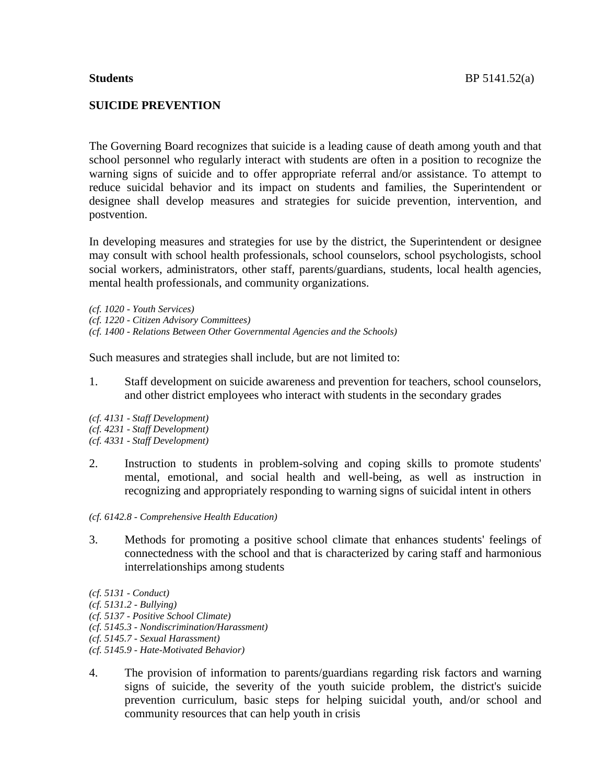### **SUICIDE PREVENTION**

The Governing Board recognizes that suicide is a leading cause of death among youth and that school personnel who regularly interact with students are often in a position to recognize the warning signs of suicide and to offer appropriate referral and/or assistance. To attempt to reduce suicidal behavior and its impact on students and families, the Superintendent or designee shall develop measures and strategies for suicide prevention, intervention, and postvention.

In developing measures and strategies for use by the district, the Superintendent or designee may consult with school health professionals, school counselors, school psychologists, school social workers, administrators, other staff, parents/guardians, students, local health agencies, mental health professionals, and community organizations.

*(cf. 1020 - Youth Services) (cf. 1220 - Citizen Advisory Committees) (cf. 1400 - Relations Between Other Governmental Agencies and the Schools)*

Such measures and strategies shall include, but are not limited to:

- 1. Staff development on suicide awareness and prevention for teachers, school counselors, and other district employees who interact with students in the secondary grades
- *(cf. 4131 - Staff Development) (cf. 4231 - Staff Development) (cf. 4331 - Staff Development)*
- 2. Instruction to students in problem-solving and coping skills to promote students' mental, emotional, and social health and well-being, as well as instruction in recognizing and appropriately responding to warning signs of suicidal intent in others
- *(cf. 6142.8 - Comprehensive Health Education)*
- 3. Methods for promoting a positive school climate that enhances students' feelings of connectedness with the school and that is characterized by caring staff and harmonious interrelationships among students
- *(cf. 5131 - Conduct)*
- *(cf. 5131.2 - Bullying)*
- *(cf. 5137 - Positive School Climate)*
- *(cf. 5145.3 - Nondiscrimination/Harassment)*
- *(cf. 5145.7 - Sexual Harassment)*
- *(cf. 5145.9 - Hate-Motivated Behavior)*
- 4. The provision of information to parents/guardians regarding risk factors and warning signs of suicide, the severity of the youth suicide problem, the district's suicide prevention curriculum, basic steps for helping suicidal youth, and/or school and community resources that can help youth in crisis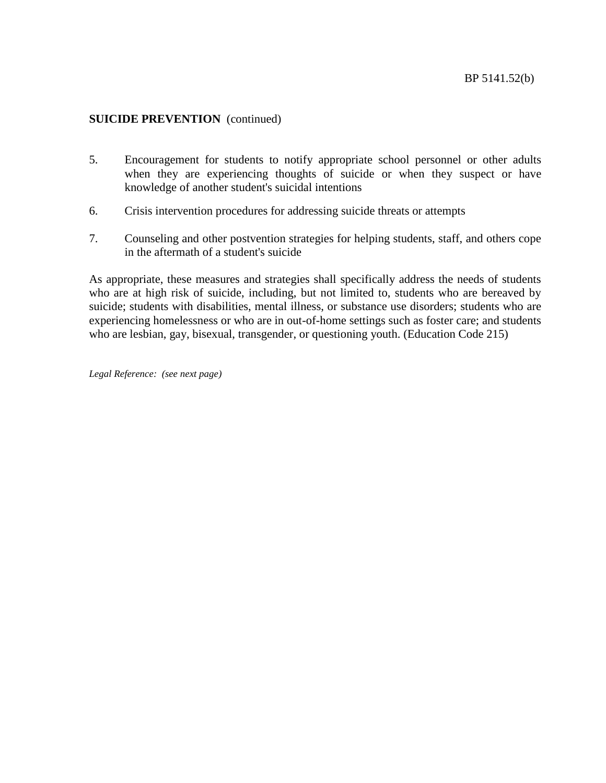- 5. Encouragement for students to notify appropriate school personnel or other adults when they are experiencing thoughts of suicide or when they suspect or have knowledge of another student's suicidal intentions
- 6. Crisis intervention procedures for addressing suicide threats or attempts
- 7. Counseling and other postvention strategies for helping students, staff, and others cope in the aftermath of a student's suicide

As appropriate, these measures and strategies shall specifically address the needs of students who are at high risk of suicide, including, but not limited to, students who are bereaved by suicide; students with disabilities, mental illness, or substance use disorders; students who are experiencing homelessness or who are in out-of-home settings such as foster care; and students who are lesbian, gay, bisexual, transgender, or questioning youth. (Education Code 215)

*Legal Reference: (see next page)*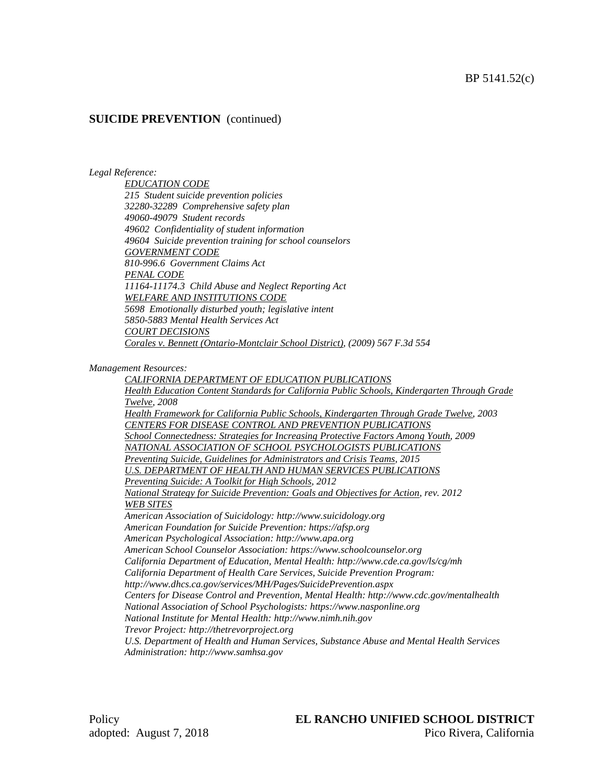#### *Legal Reference:*

*EDUCATION CODE 215 Student suicide prevention policies 32280-32289 Comprehensive safety plan 49060-49079 Student records 49602 Confidentiality of student information 49604 Suicide prevention training for school counselors GOVERNMENT CODE 810-996.6 Government Claims Act PENAL CODE 11164-11174.3 Child Abuse and Neglect Reporting Act WELFARE AND INSTITUTIONS CODE 5698 Emotionally disturbed youth; legislative intent 5850-5883 Mental Health Services Act COURT DECISIONS Corales v. Bennett (Ontario-Montclair School District), (2009) 567 F.3d 554*

*Management Resources:*

*CALIFORNIA DEPARTMENT OF EDUCATION PUBLICATIONS Health Education Content Standards for California Public Schools, Kindergarten Through Grade Twelve, 2008 Health Framework for California Public Schools, Kindergarten Through Grade Twelve, 2003 CENTERS FOR DISEASE CONTROL AND PREVENTION PUBLICATIONS School Connectedness: Strategies for Increasing Protective Factors Among Youth, 2009 NATIONAL ASSOCIATION OF SCHOOL PSYCHOLOGISTS PUBLICATIONS Preventing Suicide, Guidelines for Administrators and Crisis Teams, 2015 U.S. DEPARTMENT OF HEALTH AND HUMAN SERVICES PUBLICATIONS Preventing Suicide: A Toolkit for High Schools, 2012 National Strategy for Suicide Prevention: Goals and Objectives for Action, rev. 2012 WEB SITES American Association of Suicidology: http://www.suicidology.org American Foundation for Suicide Prevention: https://afsp.org American Psychological Association: http://www.apa.org American School Counselor Association: https://www.schoolcounselor.org California Department of Education, Mental Health: http://www.cde.ca.gov/ls/cg/mh California Department of Health Care Services, Suicide Prevention Program: http://www.dhcs.ca.gov/services/MH/Pages/SuicidePrevention.aspx Centers for Disease Control and Prevention, Mental Health: http://www.cdc.gov/mentalhealth National Association of School Psychologists: https://www.nasponline.org National Institute for Mental Health: http://www.nimh.nih.gov Trevor Project: http://thetrevorproject.org U.S. Department of Health and Human Services, Substance Abuse and Mental Health Services Administration: http://www.samhsa.gov*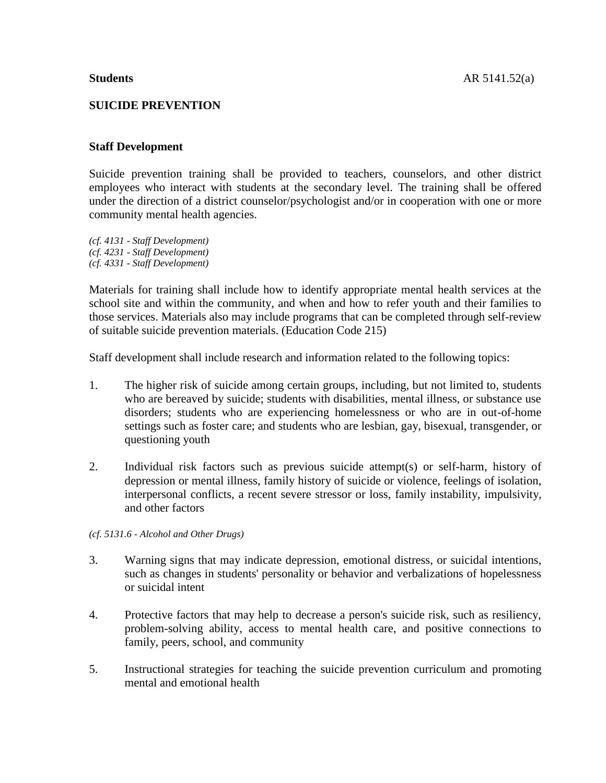#### **SUICIDE PREVENTION**

#### **Staff Development**

Suicide prevention training shall be provided to teachers, counselors, and other district employees who interact with students at the secondary level. The training shall be offered under the direction of a district counselor/psychologist and/or in cooperation with one or more community mental health agencies.

*(cf. 4131 - Staff Development) (cf. 4231 - Staff Development) (cf. 4331 - Staff Development)*

Materials for training shall include how to identify appropriate mental health services at the school site and within the community, and when and how to refer youth and their families to those services. Materials also may include programs that can be completed through self-review of suitable suicide prevention materials. (Education Code 215)

Staff development shall include research and information related to the following topics:

- 1. The higher risk of suicide among certain groups, including, but not limited to, students who are bereaved by suicide; students with disabilities, mental illness, or substance use disorders; students who are experiencing homelessness or who are in out-of-home settings such as foster care; and students who are lesbian, gay, bisexual, transgender, or questioning youth
- 2. Individual risk factors such as previous suicide attempt(s) or self-harm, history of depression or mental illness, family history of suicide or violence, feelings of isolation, interpersonal conflicts, a recent severe stressor or loss, family instability, impulsivity, and other factors

*(cf. 5131.6 - Alcohol and Other Drugs)*

- 3. Warning signs that may indicate depression, emotional distress, or suicidal intentions, such as changes in students' personality or behavior and verbalizations of hopelessness or suicidal intent
- 4. Protective factors that may help to decrease a person's suicide risk, such as resiliency, problem-solving ability, access to mental health care, and positive connections to family, peers, school, and community
- 5. Instructional strategies for teaching the suicide prevention curriculum and promoting mental and emotional health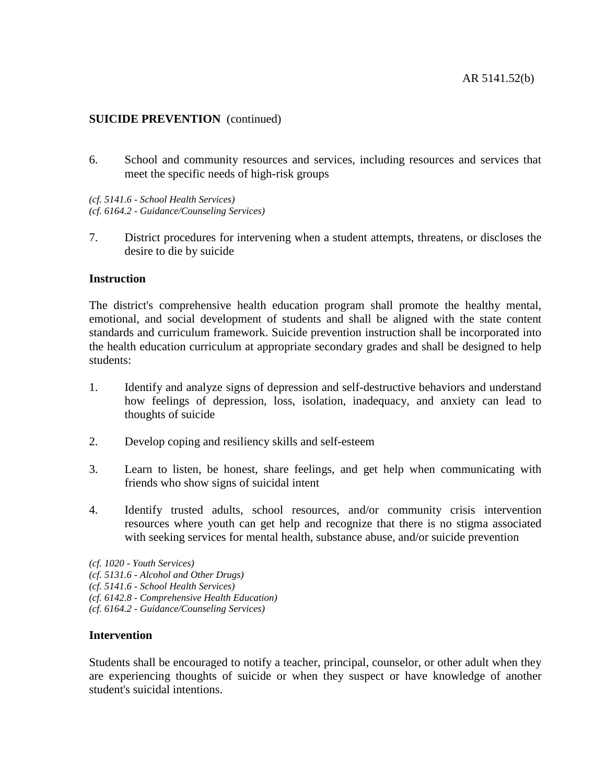6. School and community resources and services, including resources and services that meet the specific needs of high-risk groups

*(cf. 5141.6 - School Health Services) (cf. 6164.2 - Guidance/Counseling Services)*

7. District procedures for intervening when a student attempts, threatens, or discloses the desire to die by suicide

#### **Instruction**

The district's comprehensive health education program shall promote the healthy mental, emotional, and social development of students and shall be aligned with the state content standards and curriculum framework. Suicide prevention instruction shall be incorporated into the health education curriculum at appropriate secondary grades and shall be designed to help students:

- 1. Identify and analyze signs of depression and self-destructive behaviors and understand how feelings of depression, loss, isolation, inadequacy, and anxiety can lead to thoughts of suicide
- 2. Develop coping and resiliency skills and self-esteem
- 3. Learn to listen, be honest, share feelings, and get help when communicating with friends who show signs of suicidal intent
- 4. Identify trusted adults, school resources, and/or community crisis intervention resources where youth can get help and recognize that there is no stigma associated with seeking services for mental health, substance abuse, and/or suicide prevention

- *(cf. 5131.6 - Alcohol and Other Drugs)*
- *(cf. 5141.6 - School Health Services)*
- *(cf. 6142.8 - Comprehensive Health Education)*
- *(cf. 6164.2 - Guidance/Counseling Services)*

#### **Intervention**

Students shall be encouraged to notify a teacher, principal, counselor, or other adult when they are experiencing thoughts of suicide or when they suspect or have knowledge of another student's suicidal intentions.

*<sup>(</sup>cf. 1020 - Youth Services)*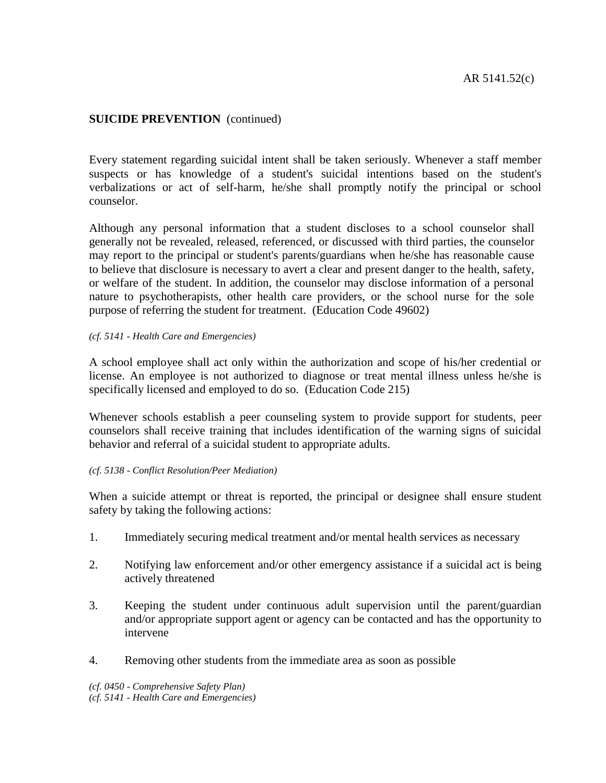Every statement regarding suicidal intent shall be taken seriously. Whenever a staff member suspects or has knowledge of a student's suicidal intentions based on the student's verbalizations or act of self-harm, he/she shall promptly notify the principal or school counselor.

Although any personal information that a student discloses to a school counselor shall generally not be revealed, released, referenced, or discussed with third parties, the counselor may report to the principal or student's parents/guardians when he/she has reasonable cause to believe that disclosure is necessary to avert a clear and present danger to the health, safety, or welfare of the student. In addition, the counselor may disclose information of a personal nature to psychotherapists, other health care providers, or the school nurse for the sole purpose of referring the student for treatment. (Education Code 49602)

#### *(cf. 5141 - Health Care and Emergencies)*

A school employee shall act only within the authorization and scope of his/her credential or license. An employee is not authorized to diagnose or treat mental illness unless he/she is specifically licensed and employed to do so. (Education Code 215)

Whenever schools establish a peer counseling system to provide support for students, peer counselors shall receive training that includes identification of the warning signs of suicidal behavior and referral of a suicidal student to appropriate adults.

#### *(cf. 5138 - Conflict Resolution/Peer Mediation)*

When a suicide attempt or threat is reported, the principal or designee shall ensure student safety by taking the following actions:

- 1. Immediately securing medical treatment and/or mental health services as necessary
- 2. Notifying law enforcement and/or other emergency assistance if a suicidal act is being actively threatened
- 3. Keeping the student under continuous adult supervision until the parent/guardian and/or appropriate support agent or agency can be contacted and has the opportunity to intervene
- 4. Removing other students from the immediate area as soon as possible

*(cf. 0450 - Comprehensive Safety Plan) (cf. 5141 - Health Care and Emergencies)*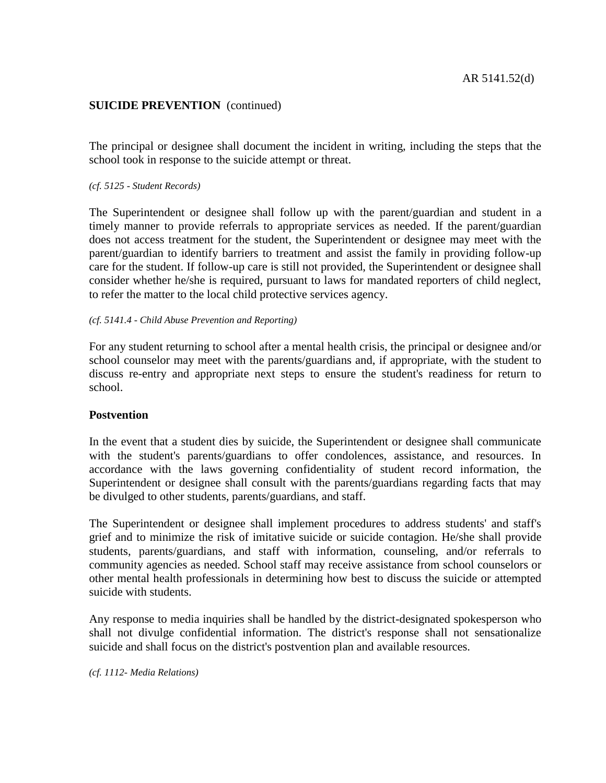The principal or designee shall document the incident in writing, including the steps that the school took in response to the suicide attempt or threat.

#### *(cf. 5125 - Student Records)*

The Superintendent or designee shall follow up with the parent/guardian and student in a timely manner to provide referrals to appropriate services as needed. If the parent/guardian does not access treatment for the student, the Superintendent or designee may meet with the parent/guardian to identify barriers to treatment and assist the family in providing follow-up care for the student. If follow-up care is still not provided, the Superintendent or designee shall consider whether he/she is required, pursuant to laws for mandated reporters of child neglect, to refer the matter to the local child protective services agency.

#### *(cf. 5141.4 - Child Abuse Prevention and Reporting)*

For any student returning to school after a mental health crisis, the principal or designee and/or school counselor may meet with the parents/guardians and, if appropriate, with the student to discuss re-entry and appropriate next steps to ensure the student's readiness for return to school.

#### **Postvention**

In the event that a student dies by suicide, the Superintendent or designee shall communicate with the student's parents/guardians to offer condolences, assistance, and resources. In accordance with the laws governing confidentiality of student record information, the Superintendent or designee shall consult with the parents/guardians regarding facts that may be divulged to other students, parents/guardians, and staff.

The Superintendent or designee shall implement procedures to address students' and staff's grief and to minimize the risk of imitative suicide or suicide contagion. He/she shall provide students, parents/guardians, and staff with information, counseling, and/or referrals to community agencies as needed. School staff may receive assistance from school counselors or other mental health professionals in determining how best to discuss the suicide or attempted suicide with students.

Any response to media inquiries shall be handled by the district-designated spokesperson who shall not divulge confidential information. The district's response shall not sensationalize suicide and shall focus on the district's postvention plan and available resources.

*(cf. 1112- Media Relations)*